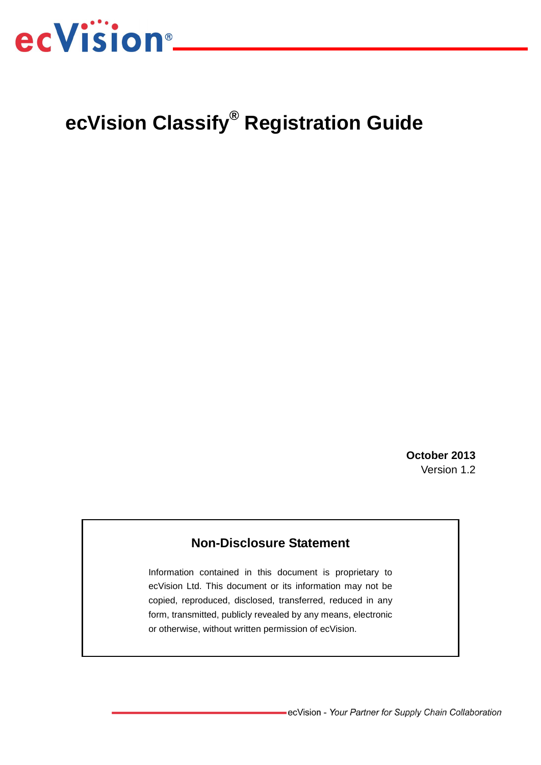

# **ecVision Classify® Registration Guide**

**October 2013** Version 1.2

## **Non-Disclosure Statement**

Information contained in this document is proprietary to ecVision Ltd. This document or its information may not be copied, reproduced, disclosed, transferred, reduced in any form, transmitted, publicly revealed by any means, electronic or otherwise, without written permission of ecVision.

-ecVision - Your Partner for Supply Chain Collaboration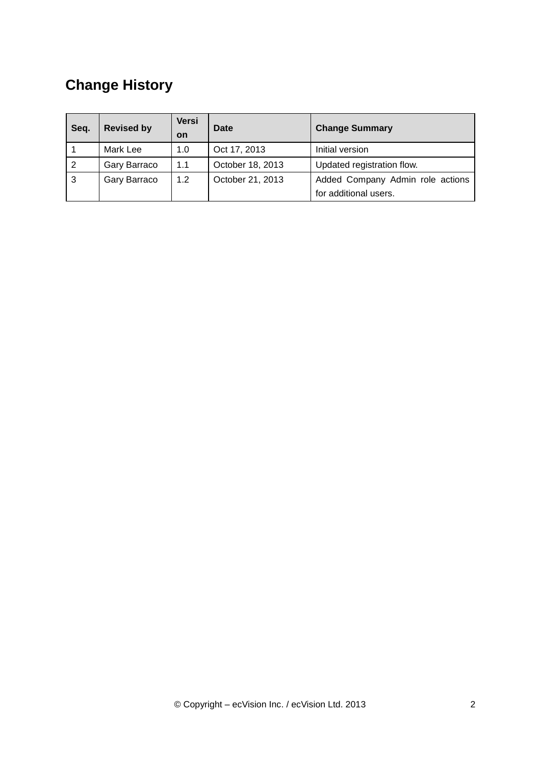# **Change History**

| Seq. | <b>Revised by</b> | Versi     | Date             | <b>Change Summary</b>            |  |
|------|-------------------|-----------|------------------|----------------------------------|--|
|      |                   | <b>on</b> |                  |                                  |  |
|      | Mark Lee          | 1.0       | Oct 17, 2013     | Initial version                  |  |
| 2    | Gary Barraco      | 1.1       | October 18, 2013 | Updated registration flow.       |  |
| 3    | Gary Barraco      | 1.2       | October 21, 2013 | Added Company Admin role actions |  |
|      |                   |           |                  | for additional users.            |  |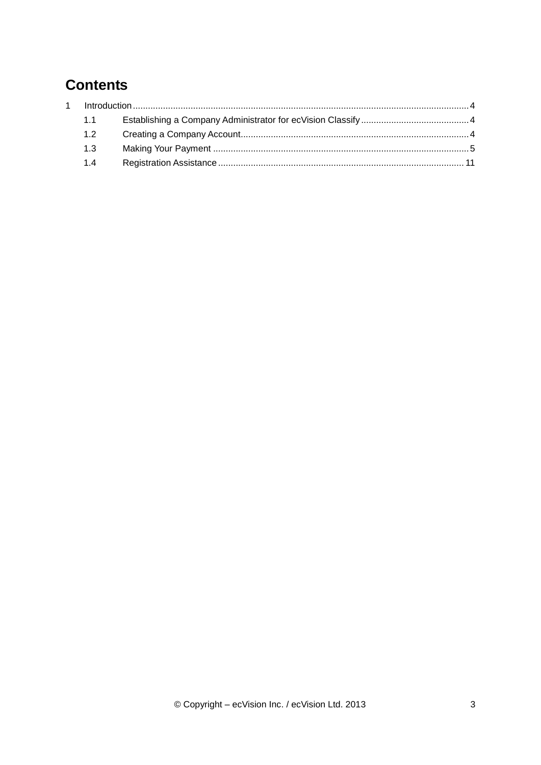# **Contents**

| 1.1     |  |
|---------|--|
| 1.2     |  |
| $1.3 -$ |  |
| 14      |  |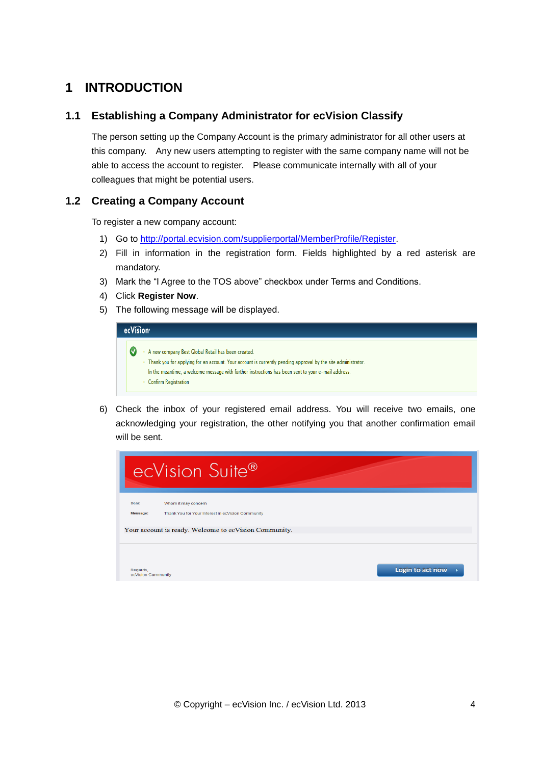# <span id="page-3-0"></span>**1 INTRODUCTION**

#### <span id="page-3-1"></span>**1.1 Establishing a Company Administrator for ecVision Classify**

The person setting up the Company Account is the primary administrator for all other users at this company. Any new users attempting to register with the same company name will not be able to access the account to register. Please communicate internally with all of your colleagues that might be potential users.

### <span id="page-3-2"></span>**1.2 Creating a Company Account**

To register a new company account:

- 1) Go to [http://portal.ecvision.com/supplierportal/MemberProfile/Register.](http://portal.ecvision.com/supplierportal/MemberProfile/Register)
- 2) Fill in information in the registration form. Fields highlighted by a red asterisk are mandatory.
- 3) Mark the "I Agree to the TOS above" checkbox under Terms and Conditions.
- 4) Click **Register Now**.
- 5) The following message will be displayed.

| ecVision <sup>®</sup> |                                                                                                                                                                                                                                                                                                      |  |  |  |
|-----------------------|------------------------------------------------------------------------------------------------------------------------------------------------------------------------------------------------------------------------------------------------------------------------------------------------------|--|--|--|
|                       | A new company Best Global Retail has been created.<br>. Thank you for applying for an account. Your account is currently pending approval by the site administrator.<br>In the meantime, a welcome message with further instructions has been sent to your e-mail address.<br>• Confirm Registration |  |  |  |

6) Check the inbox of your registered email address. You will receive two emails, one acknowledging your registration, the other notifying you that another confirmation email will be sent.

|                                | ecVision Suite®                                                                                                                   |  |
|--------------------------------|-----------------------------------------------------------------------------------------------------------------------------------|--|
| Dear:<br>Message:              | Whom it may concern<br>Thank You for Your Interest in ecVision Community<br>Your account is ready. Welcome to ecVision Community. |  |
| Regards,<br>ecVision Community | Login to act now                                                                                                                  |  |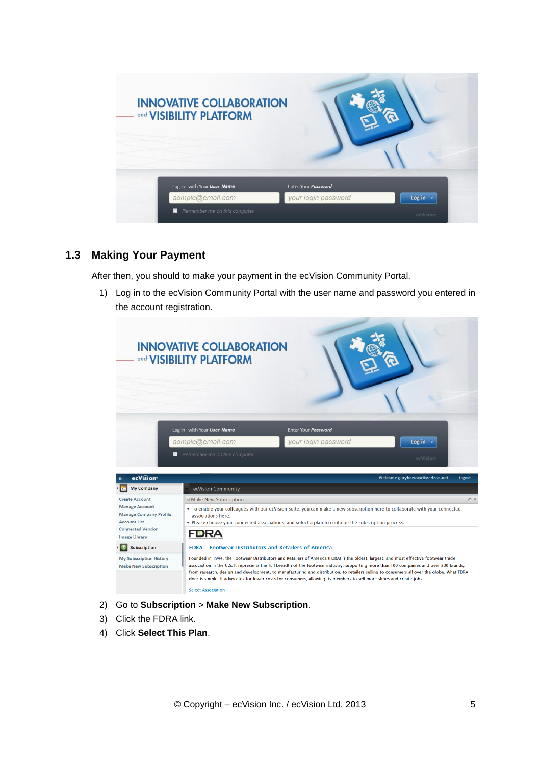| <b>INNOVATIVE COLLABORATION</b><br>and <b>VISIBILITY PLATFORM</b> |                     |                       |
|-------------------------------------------------------------------|---------------------|-----------------------|
| Log in with Your User Name                                        | Enter Your Password |                       |
| sample@email.com                                                  | your login password | Log-in                |
| Remember me on this computer.<br>п                                |                     | ecVision <sup>®</sup> |

#### <span id="page-4-0"></span>**1.3 Making Your Payment**

After then, you should to make your payment in the ecVision Community Portal.

1) Log in to the ecVision Community Portal with the user name and password you entered in the account registration.



- 2) Go to **Subscription** > **Make New Subscription**.
- 3) Click the FDRA link.
- 4) Click **Select This Plan**.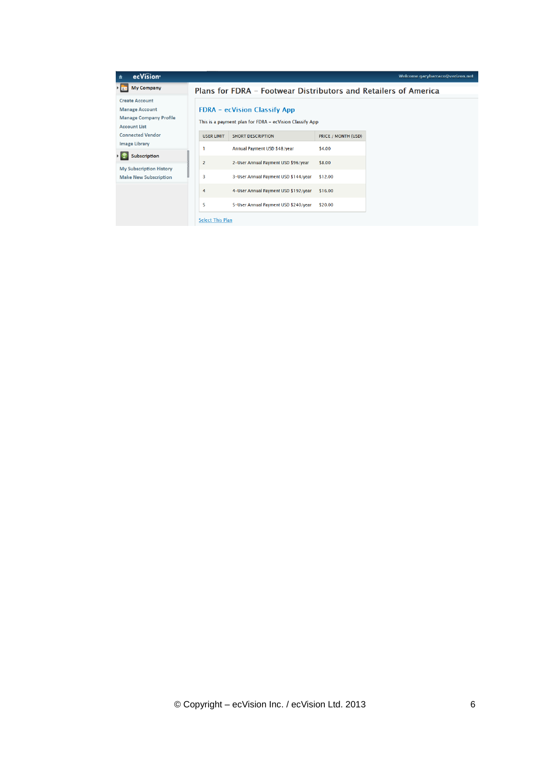| ecVision <sup>®</sup><br>$\hat{\mathbf{n}}$                                                            |                         |                                                                                                |                     | Welcome garybarraco@verizon.net |
|--------------------------------------------------------------------------------------------------------|-------------------------|------------------------------------------------------------------------------------------------|---------------------|---------------------------------|
| <b>My Company</b>                                                                                      |                         | Plans for FDRA - Footwear Distributors and Retailers of America                                |                     |                                 |
| <b>Create Account</b><br><b>Manage Account</b><br><b>Manage Company Profile</b><br><b>Account List</b> |                         | <b>FDRA</b> – ecVision Classify App<br>This is a payment plan for FDRA - ecVision Classify App |                     |                                 |
| <b>Connected Vendor</b>                                                                                | <b>USER LIMIT</b>       | <b>SHORT DESCRIPTION</b>                                                                       | PRICE / MONTH (USD) |                                 |
| <b>Image Library</b>                                                                                   |                         | Annual Payment USD \$48/year                                                                   | \$4.00              |                                 |
| Subscription                                                                                           | $\overline{2}$          | 2-User Annual Payment USD \$96/year                                                            | \$8.00              |                                 |
| <b>My Subscription History</b><br><b>Make New Subscription</b>                                         | 3                       | 3-User Annual Payment USD \$144/year                                                           | \$12.00             |                                 |
|                                                                                                        | 4                       | 4-User Annual Payment USD \$192/year                                                           | \$16.00             |                                 |
|                                                                                                        | 5                       | 5-User Annual Payment USD \$240/year                                                           | \$20.00             |                                 |
|                                                                                                        | <b>Select This Plan</b> |                                                                                                |                     |                                 |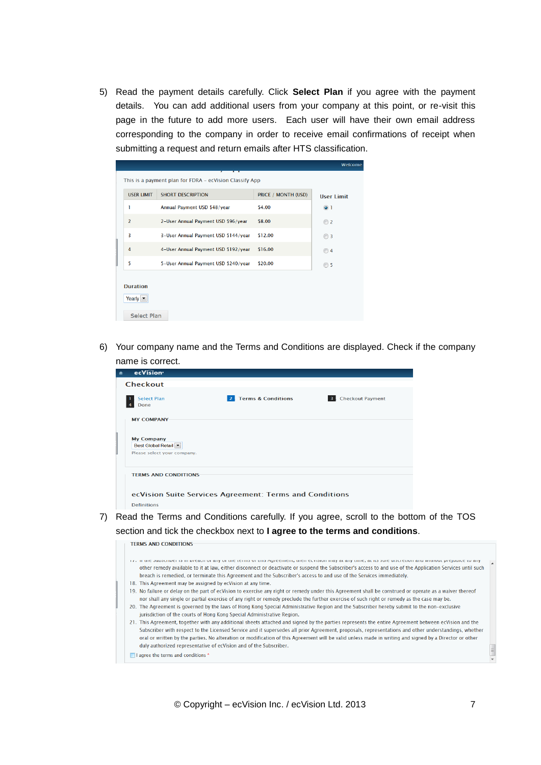5) Read the payment details carefully. Click **Select Plan** if you agree with the payment details. You can add additional users from your company at this point, or re-visit this page in the future to add more users. Each user will have their own email address corresponding to the company in order to receive email confirmations of receipt when submitting a request and return emails after HTS classification.

|                                                               |                                                         |                     | Welcome           |
|---------------------------------------------------------------|---------------------------------------------------------|---------------------|-------------------|
|                                                               | This is a payment plan for FDRA - ecVision Classify App |                     |                   |
| <b>USER LIMIT</b>                                             | <b>SHORT DESCRIPTION</b>                                | PRICE / MONTH (USD) | <b>User Limit</b> |
| 1                                                             | Annual Payment USD \$48/year                            | \$4.00              | $\odot$ 1         |
| $\overline{2}$                                                | 2-User Annual Payment USD \$96/year                     | \$8.00              | $\odot$ 2         |
| $\overline{3}$                                                | 3-User Annual Payment USD \$144/year                    | \$12.00             | ◯ 3               |
| 4                                                             | 4-User Annual Payment USD \$192/year                    | \$16.00             | $\odot$ 4         |
| 5                                                             | 5-User Annual Payment USD \$240/year                    | \$20.00             | ◯ 5               |
| <b>Duration</b><br>Yearly $\blacktriangledown$<br>Select Plan |                                                         |                     |                   |

6) Your company name and the Terms and Conditions are displayed. Check if the company name is correct.

| Â | ecVision <sup>®</sup>                                                                           |
|---|-------------------------------------------------------------------------------------------------|
|   | <b>Checkout</b>                                                                                 |
|   | <b>Terms &amp; Conditions</b><br>3. Checkout Payment<br>$\vert$ 2<br><b>Select Plan</b><br>Done |
|   | <b>MY COMPANY</b>                                                                               |
|   | <b>My Company</b><br>Best Global Retail v<br>Please select your company.                        |
|   | <b>TERMS AND CONDITIONS</b>                                                                     |
|   | ecVision Suite Services Agreement: Terms and Conditions<br><b>Definitions</b>                   |
|   |                                                                                                 |

7) Read the Terms and Conditions carefully. If you agree, scroll to the bottom of the TOS section and tick the checkbox next to **I agree to the terms and conditions**.

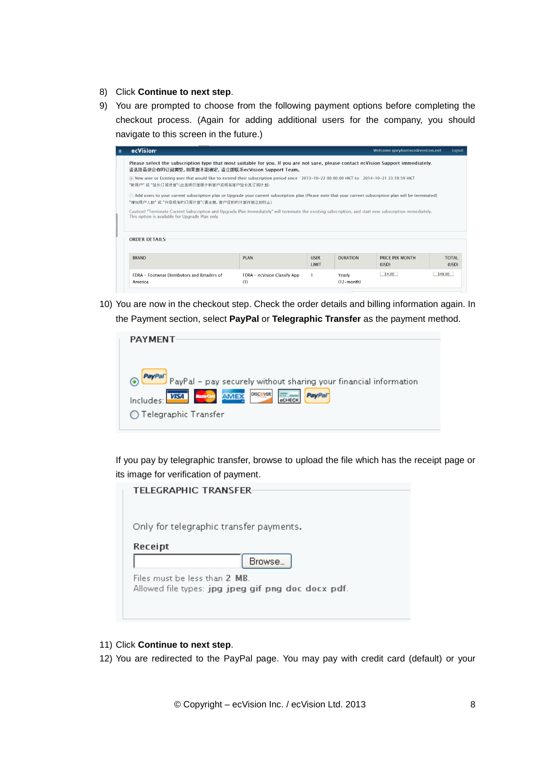- 8) Click **Continue to next step**.
- 9) You are prompted to choose from the following payment options before completing the checkout process. (Again for adding additional users for the company, you should navigate to this screen in the future.)

| $\hat{\mathbf{n}}$                                                                                                                                                                                                                 | ecVision <sup>®</sup>                                                                                                                                                                                      |                                     |  |                        | Welcome garybarraco@verizon.net | Logout  |  |
|------------------------------------------------------------------------------------------------------------------------------------------------------------------------------------------------------------------------------------|------------------------------------------------------------------------------------------------------------------------------------------------------------------------------------------------------------|-------------------------------------|--|------------------------|---------------------------------|---------|--|
|                                                                                                                                                                                                                                    | Please select the subscription type that most suitable for you. If you are not sure, please contact ecVision Support immediately.<br>请选择最适合你的订阅类型。如果您不能确定,请立即联系ecVision Support Team。                      |                                     |  |                        |                                 |         |  |
|                                                                                                                                                                                                                                    | @ New user or Existing user that would like to extend their subscription period since 2013-10-22 00:00:00 HKT to 2014-10-21 23:59:59 HKT<br>"新用户" 或 "延长订阅计划"(此选项仅适用于新客户或现有客户延长其订阅计划)                       |                                     |  |                        |                                 |         |  |
|                                                                                                                                                                                                                                    | ◯ Add users to your current subscription plan or Upgrade your current subscription plan (Please note that your current subscription plan will be terminated)<br>"增加用户人数" 或 "升级现有的订阅计划"(请注意, 客户目前的计划将被立即终止) |                                     |  |                        |                                 |         |  |
| Caution! "Terminate Current Subscription and Upgrade Plan Immediately" will terminate the existing subscription, and start new subscription immediately.<br>This option is available for Upgrade Plan only<br><b>ORDER DETAILS</b> |                                                                                                                                                                                                            |                                     |  |                        |                                 |         |  |
|                                                                                                                                                                                                                                    |                                                                                                                                                                                                            |                                     |  |                        |                                 |         |  |
|                                                                                                                                                                                                                                    | <b>BRAND</b><br><b>PI AN</b><br><b>TOTAL</b><br><b>USER</b><br><b>DURATION</b><br><b>PRICE PER MONTH</b><br><b>LIMIT</b><br>(USD)<br>(USD)                                                                 |                                     |  |                        |                                 |         |  |
|                                                                                                                                                                                                                                    | <b>FDRA - Footwear Distributors and Retailers of</b><br>America                                                                                                                                            | FDRA - ecVision Classify App<br>(1) |  | Yearly<br>$(12-month)$ | \$4.00                          | \$48.00 |  |

10) You are now in the checkout step. Check the order details and billing information again. In the Payment section, select **PayPal** or **Telegraphic Transfer** as the payment method.

| <b>PAYMENT</b>                                                                                                                                                                                   |
|--------------------------------------------------------------------------------------------------------------------------------------------------------------------------------------------------|
| PayPal - pay securely without sharing your financial information<br><b>DISCOVER</b><br><b>NasterCard</b><br><b>AMEX</b><br><b>VISA</b><br><b>PayPal</b><br>Includes: I<br>◯ Telegraphic Transfer |

If you pay by telegraphic transfer, browse to upload the file which has the receipt page or its image for verification of payment.

| <b>TELEGRAPHIC TRANSFER-</b>                       |
|----------------------------------------------------|
|                                                    |
|                                                    |
|                                                    |
| Only for telegraphic transfer payments.            |
|                                                    |
| Receipt                                            |
| Browse                                             |
|                                                    |
| Files must be less than 2 MR                       |
| Allowed file types: jpg jpeg gif png doc docx pdf. |
|                                                    |
|                                                    |
|                                                    |

- 11) Click **Continue to next step**.
- 12) You are redirected to the PayPal page. You may pay with credit card (default) or your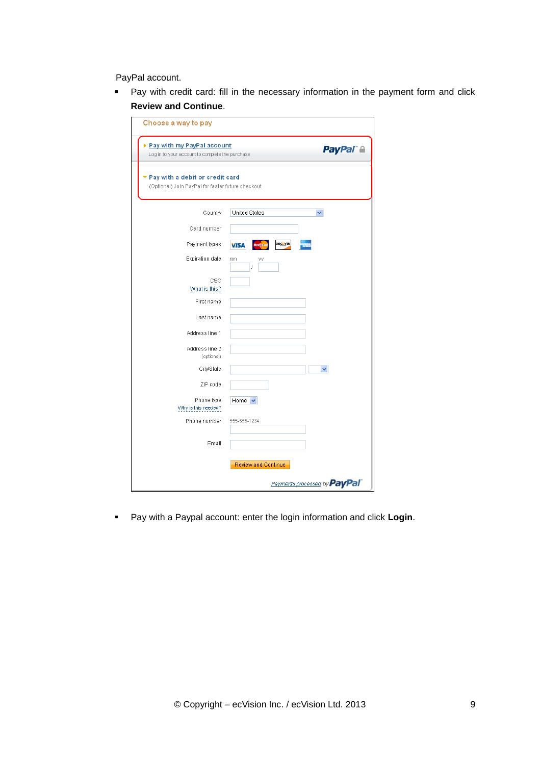PayPal account.

 Pay with credit card: fill in the necessary information in the payment form and click **Review and Continue**.

| Choose a way to pay                                                                    |                                |                                     |
|----------------------------------------------------------------------------------------|--------------------------------|-------------------------------------|
| ▶ Pay with my PayPal account<br>Log in to your account to complete the purchase        | <b>PayPal A</b>                |                                     |
| ▼ Pay with a debit or credit card<br>(Optional) Join PayPal for faster future checkout |                                |                                     |
| Country                                                                                | United States                  |                                     |
| Card number                                                                            |                                |                                     |
| Payment types                                                                          | <b>DISCOVER</b><br><b>VISA</b> |                                     |
| Expiration date                                                                        | mm<br>уу<br>ţ                  |                                     |
| csc<br>What is this?                                                                   |                                |                                     |
| First name                                                                             |                                |                                     |
| Last name                                                                              |                                |                                     |
| Address line 1                                                                         |                                |                                     |
| Address line 2<br>(optional)                                                           |                                |                                     |
| City/State                                                                             |                                |                                     |
| ZIP code                                                                               |                                |                                     |
| Phone type<br>Why is this needed?                                                      | Home $\sim$                    |                                     |
| Phone number                                                                           | 555-555-1234                   |                                     |
| Email                                                                                  |                                |                                     |
|                                                                                        | Review and Continue            |                                     |
|                                                                                        |                                | Payments processed by <b>PayPal</b> |

Pay with a Paypal account: enter the login information and click **Login**.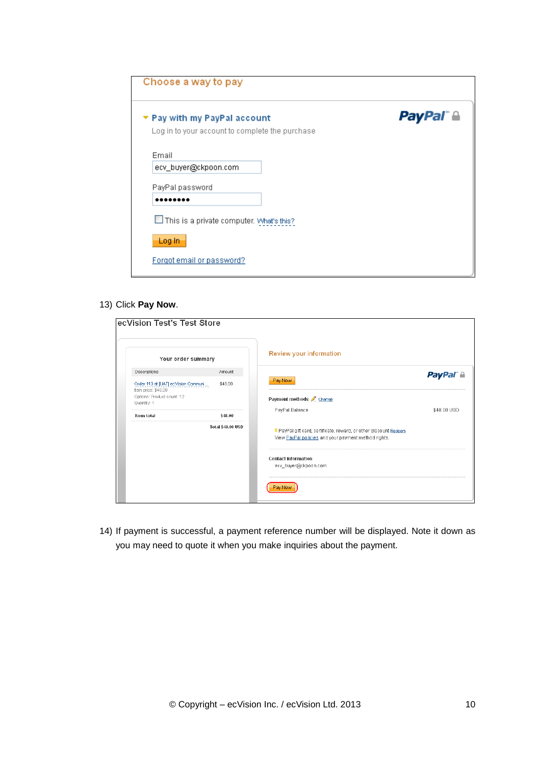| Pay with my PayPal account                      | <b>PayPal a</b> |
|-------------------------------------------------|-----------------|
| Log in to your account to complete the purchase |                 |
| Email                                           |                 |
| ecv_buyer@ckpoon.com                            |                 |
| PayPal password                                 |                 |
|                                                 |                 |
| This is a private computer. What's this?        |                 |
| Log in                                          |                 |

13) Click **Pay Now**.

| Your order summary                                         |                          | Review your information                                                                                                 |                     |
|------------------------------------------------------------|--------------------------|-------------------------------------------------------------------------------------------------------------------------|---------------------|
| Descriptions                                               | Amount                   |                                                                                                                         | PayPal <sup>®</sup> |
| Order 113 at [UAT] ecVision Communi<br>Item price: \$48.00 | \$48.00                  | Pay Now                                                                                                                 |                     |
| Options: Product count: 12<br>Quantity: 1                  |                          | Payment methods Change                                                                                                  |                     |
| Item total                                                 | \$48.00                  | PayPal Balance                                                                                                          | \$48.00 USD         |
|                                                            | <b>Total \$48.00 USD</b> | PayPal gift card, certificate, reward, or other discount Redeem<br>View PayPal policies and your payment method rights. |                     |
|                                                            |                          | <b>Contact information</b><br>ecv_buyer@ckpoon.com                                                                      |                     |

14) If payment is successful, a payment reference number will be displayed. Note it down as you may need to quote it when you make inquiries about the payment.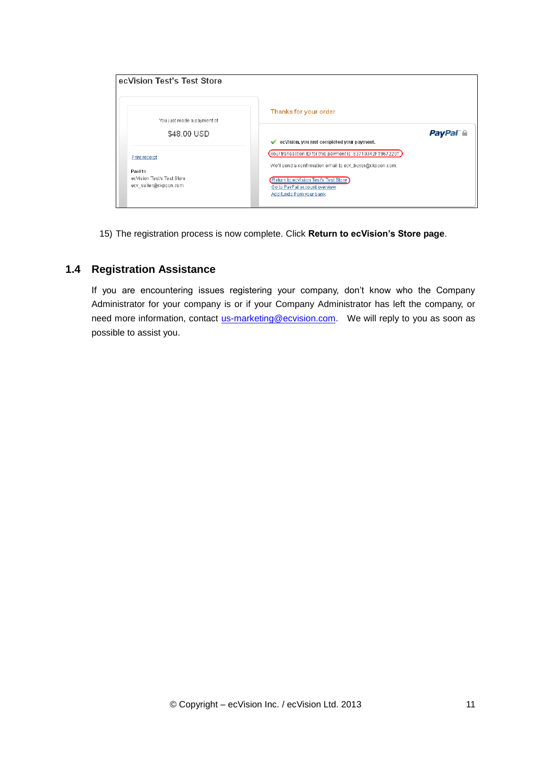| ecVision Test's Test Store                                     |                                                                                                                           |
|----------------------------------------------------------------|---------------------------------------------------------------------------------------------------------------------------|
| You just made a payment of                                     | Thanks for your order                                                                                                     |
| \$48.00 USD                                                    | <b>PayPal a</b><br>ecVision, you just completed your payment.<br>✔                                                        |
| <b>Print receipt</b>                                           | (Your transaction ID for this payment is: 83719342FT967220T.)<br>We'll send a confirmation email to ecv_buyer@ckpoon.com. |
| Paid to<br>ecVision Test's Test Store<br>ecv_seller@ckpoon.com | Return to ecVision Test's Test Store<br>Go to PayPal account overview<br>Add funds from your bank                         |

15) The registration process is now complete. Click **Return to ecVision's Store page**.

## <span id="page-10-0"></span>**1.4 Registration Assistance**

If you are encountering issues registering your company, don't know who the Company Administrator for your company is or if your Company Administrator has left the company, or need more information, contact [us-marketing@ecvision.com.](mailto:us-marketing@ecvision.com) We will reply to you as soon as possible to assist you.